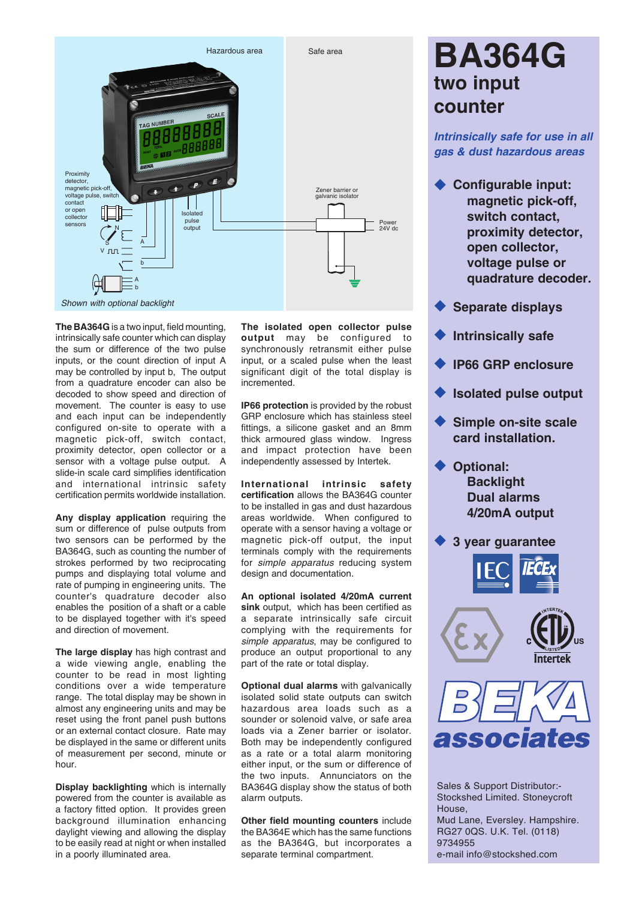

**The BA364G** is a two input, field mounting, intrinsically safe counter which can display the sum or difference of the two pulse inputs, or the count direction of input A may be controlled by input b, The output from a quadrature encoder can also be decoded to show speed and direction of movement. The counter is easy to use and each input can be independently configured on-site to operate with a magnetic pick-off, switch contact, proximity detector, open collector or a sensor with a voltage pulse output. A slide-in scale card simplifies identification and international intrinsic safety certification permits worldwide installation.

**Any display application** requiring the sum or difference of pulse outputs from two sensors can be performed by the BA364G, such as counting the number of strokes performed by two reciprocating pumps and displaying total volume and rate of pumping in engineering units. The counter's quadrature decoder also enables the position of a shaft or a cable to be displayed together with it's speed and direction of movement.

**The large display** has high contrast and a wide viewing angle, enabling the counter to be read in most lighting conditions over a wide temperature range. The total display may be shown in almost any engineering units and may be reset using the front panel push buttons or an external contact closure. Rate may be displayed in the same or different units of measurement per second, minute or hour.

**Display backlighting** which is internally powered from the counter is available as a factory fitted option. It provides green background illumination enhancing daylight viewing and allowing the display to be easily read at night or when installed in a poorly illuminated area.

**The isolated open collector pulse output** may be configured to synchronously retransmit either pulse input, or a scaled pulse when the least significant digit of the total display is incremented.

**IP66 protection** is provided by the robust GRP enclosure which has stainless steel fittings, a silicone gasket and an 8mm thick armoured glass window. Ingress and impact protection have been independently assessed by Intertek.

**International intrinsic safety certification** allows the BA364G counter to be installed in gas and dust hazardous areas worldwide. When configured to operate with a sensor having a voltage or magnetic pick-off output, the input terminals comply with the requirements for *simple apparatus* reducing system design and documentation.

**An optional isolated 4/20mA current sink** output, which has been certified as a separate intrinsically safe circuit complying with the requirements for *simple apparatus*, may be configured to produce an output proportional to any part of the rate or total display.

**Optional dual alarms** with galvanically isolated solid state outputs can switch hazardous area loads such as a sounder or solenoid valve, or safe area loads via a Zener barrier or isolator. Both may be independently configured as a rate or a total alarm monitoring either input, or the sum or difference of the two inputs. Annunciators on the BA364G display show the status of both alarm outputs.

**Other field mounting counters** include the BA364E which has the same functions as the BA364G, but incorporates a separate terminal compartment.

# **BA364G two input counter**

*Intrinsically safe for use in all gas & dust hazardous areas*

- **Configurable input: magnetic pick-off, switch contact, proximity detector, open collector, voltage pulse or quadrature decoder.**
- u **Separate displays**
- **Intrinsically safe**
- u **IP66 GRP enclosure**
- **Isolated pulse output**
- **Simple on-site scale card installation.**
- ◆ Optional: **Backlight Dual alarms 4/20mA output**

**3 year guarantee** 







Sales & Support Distributor:- Stockshed Limited. Stoneycroft House, Mud Lane, Eversley. Hampshire. RG27 0QS. U.K. Tel. (0118) 9734955 e-mail info@stockshed.com